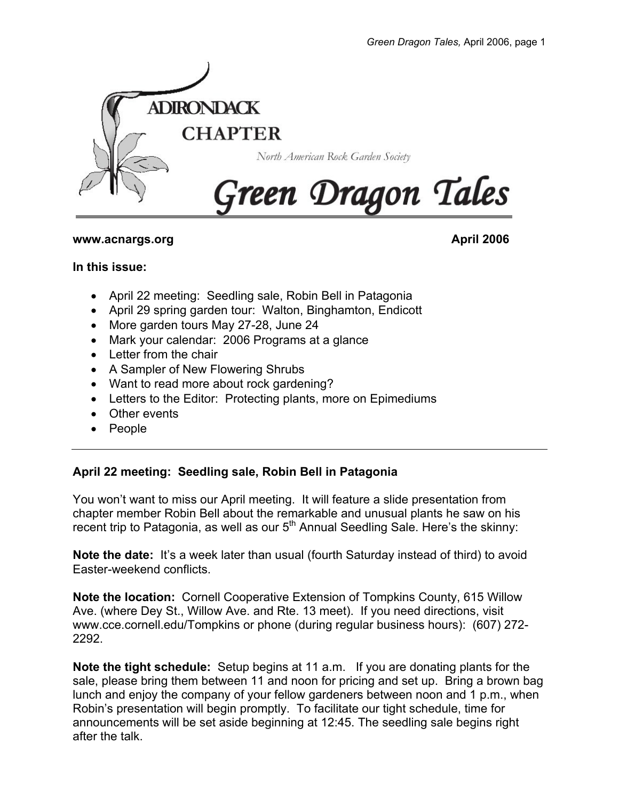

#### **www.acnargs.org April 2006**

#### **In this issue:**

- April 22 meeting: Seedling sale, Robin Bell in Patagonia
- April 29 spring garden tour: Walton, Binghamton, Endicott
- More garden tours May 27-28, June 24
- Mark your calendar: 2006 Programs at a glance
- Letter from the chair
- A Sampler of New Flowering Shrubs
- Want to read more about rock gardening?
- Letters to the Editor: Protecting plants, more on Epimediums
- Other events
- People

# **April 22 meeting: Seedling sale, Robin Bell in Patagonia**

You won't want to miss our April meeting. It will feature a slide presentation from chapter member Robin Bell about the remarkable and unusual plants he saw on his recent trip to Patagonia, as well as our  $5<sup>th</sup>$  Annual Seedling Sale. Here's the skinny:

**Note the date:** It's a week later than usual (fourth Saturday instead of third) to avoid Easter-weekend conflicts.

**Note the location:** Cornell Cooperative Extension of Tompkins County, 615 Willow Ave. (where Dey St., Willow Ave. and Rte. 13 meet). If you need directions, visit www.cce.cornell.edu/Tompkins or phone (during regular business hours): (607) 272- 2292.

**Note the tight schedule:** Setup begins at 11 a.m. If you are donating plants for the sale, please bring them between 11 and noon for pricing and set up. Bring a brown bag lunch and enjoy the company of your fellow gardeners between noon and 1 p.m., when Robin's presentation will begin promptly. To facilitate our tight schedule, time for announcements will be set aside beginning at 12:45. The seedling sale begins right after the talk.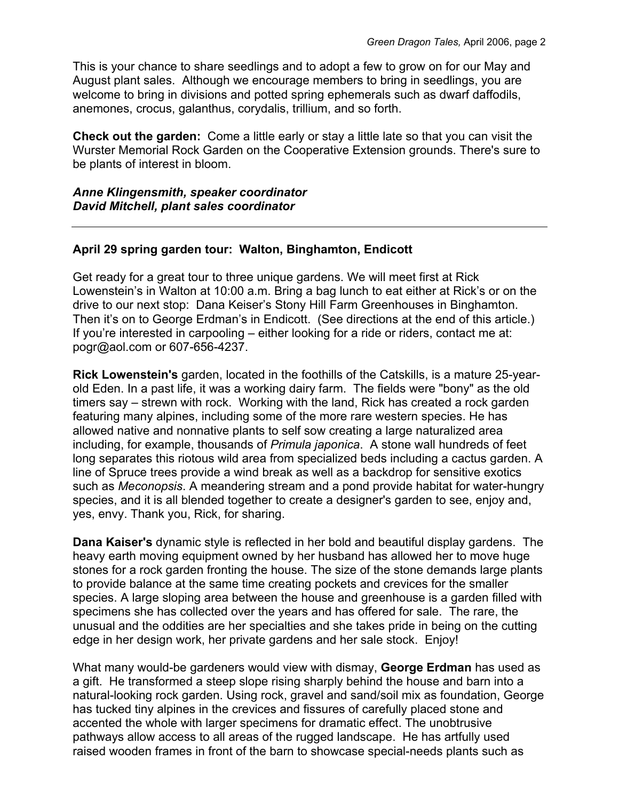This is your chance to share seedlings and to adopt a few to grow on for our May and August plant sales. Although we encourage members to bring in seedlings, you are welcome to bring in divisions and potted spring ephemerals such as dwarf daffodils, anemones, crocus, galanthus, corydalis, trillium, and so forth.

**Check out the garden:** Come a little early or stay a little late so that you can visit the Wurster Memorial Rock Garden on the Cooperative Extension grounds. There's sure to be plants of interest in bloom.

*Anne Klingensmith, speaker coordinator David Mitchell, plant sales coordinator* 

## **April 29 spring garden tour: Walton, Binghamton, Endicott**

Get ready for a great tour to three unique gardens. We will meet first at Rick Lowenstein's in Walton at 10:00 a.m. Bring a bag lunch to eat either at Rick's or on the drive to our next stop: Dana Keiser's Stony Hill Farm Greenhouses in Binghamton. Then it's on to George Erdman's in Endicott. (See directions at the end of this article.) If you're interested in carpooling – either looking for a ride or riders, contact me at: pogr@aol.com or 607-656-4237.

**Rick Lowenstein's** garden, located in the foothills of the Catskills, is a mature 25-yearold Eden. In a past life, it was a working dairy farm. The fields were "bony" as the old timers say – strewn with rock. Working with the land, Rick has created a rock garden featuring many alpines, including some of the more rare western species. He has allowed native and nonnative plants to self sow creating a large naturalized area including, for example, thousands of *Primula japonica*. A stone wall hundreds of feet long separates this riotous wild area from specialized beds including a cactus garden. A line of Spruce trees provide a wind break as well as a backdrop for sensitive exotics such as *Meconopsis*. A meandering stream and a pond provide habitat for water-hungry species, and it is all blended together to create a designer's garden to see, enjoy and, yes, envy. Thank you, Rick, for sharing.

**Dana Kaiser's** dynamic style is reflected in her bold and beautiful display gardens. The heavy earth moving equipment owned by her husband has allowed her to move huge stones for a rock garden fronting the house. The size of the stone demands large plants to provide balance at the same time creating pockets and crevices for the smaller species. A large sloping area between the house and greenhouse is a garden filled with specimens she has collected over the years and has offered for sale. The rare, the unusual and the oddities are her specialties and she takes pride in being on the cutting edge in her design work, her private gardens and her sale stock. Enjoy!

What many would-be gardeners would view with dismay, **George Erdman** has used as a gift. He transformed a steep slope rising sharply behind the house and barn into a natural-looking rock garden. Using rock, gravel and sand/soil mix as foundation, George has tucked tiny alpines in the crevices and fissures of carefully placed stone and accented the whole with larger specimens for dramatic effect. The unobtrusive pathways allow access to all areas of the rugged landscape. He has artfully used raised wooden frames in front of the barn to showcase special-needs plants such as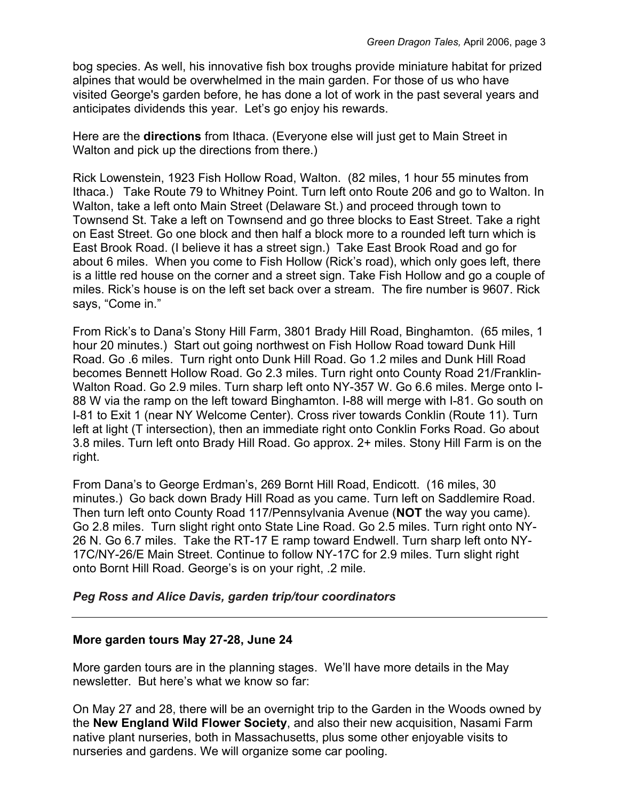bog species. As well, his innovative fish box troughs provide miniature habitat for prized alpines that would be overwhelmed in the main garden. For those of us who have visited George's garden before, he has done a lot of work in the past several years and anticipates dividends this year. Let's go enjoy his rewards.

Here are the **directions** from Ithaca. (Everyone else will just get to Main Street in Walton and pick up the directions from there.)

Rick Lowenstein, 1923 Fish Hollow Road, Walton. (82 miles, 1 hour 55 minutes from Ithaca.) Take Route 79 to Whitney Point. Turn left onto Route 206 and go to Walton. In Walton, take a left onto Main Street (Delaware St.) and proceed through town to Townsend St. Take a left on Townsend and go three blocks to East Street. Take a right on East Street. Go one block and then half a block more to a rounded left turn which is East Brook Road. (I believe it has a street sign.) Take East Brook Road and go for about 6 miles. When you come to Fish Hollow (Rick's road), which only goes left, there is a little red house on the corner and a street sign. Take Fish Hollow and go a couple of miles. Rick's house is on the left set back over a stream. The fire number is 9607. Rick says, "Come in."

From Rick's to Dana's Stony Hill Farm, 3801 Brady Hill Road, Binghamton. (65 miles, 1 hour 20 minutes.) Start out going northwest on Fish Hollow Road toward Dunk Hill Road. Go .6 miles. Turn right onto Dunk Hill Road. Go 1.2 miles and Dunk Hill Road becomes Bennett Hollow Road. Go 2.3 miles. Turn right onto County Road 21/Franklin-Walton Road. Go 2.9 miles. Turn sharp left onto NY-357 W. Go 6.6 miles. Merge onto I-88 W via the ramp on the left toward Binghamton. I-88 will merge with I-81. Go south on I-81 to Exit 1 (near NY Welcome Center). Cross river towards Conklin (Route 11). Turn left at light (T intersection), then an immediate right onto Conklin Forks Road. Go about 3.8 miles. Turn left onto Brady Hill Road. Go approx. 2+ miles. Stony Hill Farm is on the right.

From Dana's to George Erdman's, 269 Bornt Hill Road, Endicott. (16 miles, 30 minutes.) Go back down Brady Hill Road as you came. Turn left on Saddlemire Road. Then turn left onto County Road 117/Pennsylvania Avenue (**NOT** the way you came). Go 2.8 miles. Turn slight right onto State Line Road. Go 2.5 miles. Turn right onto NY-26 N. Go 6.7 miles. Take the RT-17 E ramp toward Endwell. Turn sharp left onto NY-17C/NY-26/E Main Street. Continue to follow NY-17C for 2.9 miles. Turn slight right onto Bornt Hill Road. George's is on your right, .2 mile.

# *Peg Ross and Alice Davis, garden trip/tour coordinators*

## **More garden tours May 27-28, June 24**

More garden tours are in the planning stages. We'll have more details in the May newsletter. But here's what we know so far:

On May 27 and 28, there will be an overnight trip to the Garden in the Woods owned by the **New England Wild Flower Society**, and also their new acquisition, Nasami Farm native plant nurseries, both in Massachusetts, plus some other enjoyable visits to nurseries and gardens. We will organize some car pooling.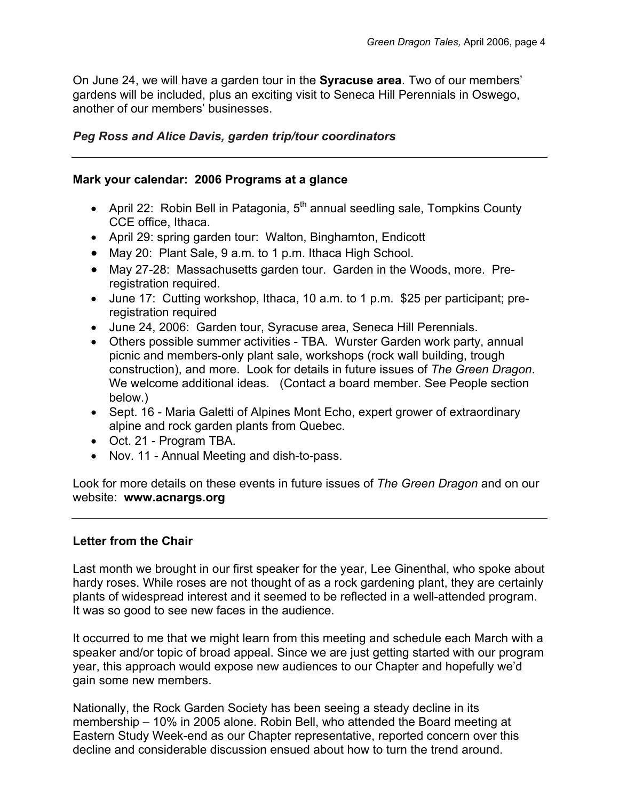On June 24, we will have a garden tour in the **Syracuse area**. Two of our members' gardens will be included, plus an exciting visit to Seneca Hill Perennials in Oswego, another of our members' businesses.

## *Peg Ross and Alice Davis, garden trip/tour coordinators*

#### **Mark your calendar: 2006 Programs at a glance**

- April 22: Robin Bell in Patagonia,  $5<sup>th</sup>$  annual seedling sale, Tompkins County CCE office, Ithaca.
- April 29: spring garden tour: Walton, Binghamton, Endicott
- May 20: Plant Sale, 9 a.m. to 1 p.m. Ithaca High School.
- May 27-28: Massachusetts garden tour. Garden in the Woods, more. Preregistration required.
- June 17: Cutting workshop, Ithaca, 10 a.m. to 1 p.m. \$25 per participant; preregistration required
- June 24, 2006: Garden tour, Syracuse area, Seneca Hill Perennials.
- Others possible summer activities TBA. Wurster Garden work party, annual picnic and members-only plant sale, workshops (rock wall building, trough construction), and more. Look for details in future issues of *The Green Dragon*. We welcome additional ideas. (Contact a board member. See People section below.)
- Sept. 16 Maria Galetti of Alpines Mont Echo, expert grower of extraordinary alpine and rock garden plants from Quebec.
- Oct. 21 Program TBA.
- Nov. 11 Annual Meeting and dish-to-pass.

Look for more details on these events in future issues of *The Green Dragon* and on our website: **www.acnargs.org**

## **Letter from the Chair**

Last month we brought in our first speaker for the year, Lee Ginenthal, who spoke about hardy roses. While roses are not thought of as a rock gardening plant, they are certainly plants of widespread interest and it seemed to be reflected in a well-attended program. It was so good to see new faces in the audience.

It occurred to me that we might learn from this meeting and schedule each March with a speaker and/or topic of broad appeal. Since we are just getting started with our program year, this approach would expose new audiences to our Chapter and hopefully we'd gain some new members.

Nationally, the Rock Garden Society has been seeing a steady decline in its membership – 10% in 2005 alone. Robin Bell, who attended the Board meeting at Eastern Study Week-end as our Chapter representative, reported concern over this decline and considerable discussion ensued about how to turn the trend around.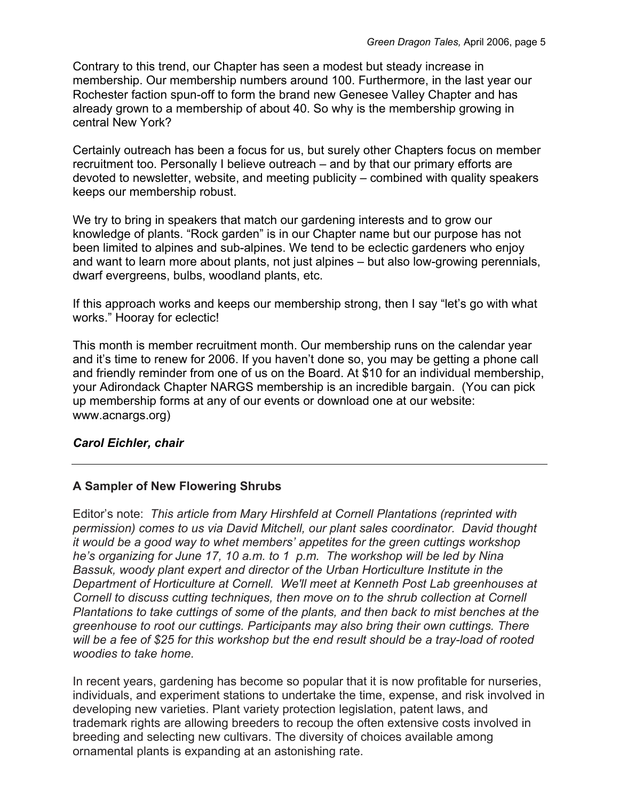Contrary to this trend, our Chapter has seen a modest but steady increase in membership. Our membership numbers around 100. Furthermore, in the last year our Rochester faction spun-off to form the brand new Genesee Valley Chapter and has already grown to a membership of about 40. So why is the membership growing in central New York?

Certainly outreach has been a focus for us, but surely other Chapters focus on member recruitment too. Personally I believe outreach – and by that our primary efforts are devoted to newsletter, website, and meeting publicity – combined with quality speakers keeps our membership robust.

We try to bring in speakers that match our gardening interests and to grow our knowledge of plants. "Rock garden" is in our Chapter name but our purpose has not been limited to alpines and sub-alpines. We tend to be eclectic gardeners who enjoy and want to learn more about plants, not just alpines – but also low-growing perennials, dwarf evergreens, bulbs, woodland plants, etc.

If this approach works and keeps our membership strong, then I say "let's go with what works." Hooray for eclectic!

This month is member recruitment month. Our membership runs on the calendar year and it's time to renew for 2006. If you haven't done so, you may be getting a phone call and friendly reminder from one of us on the Board. At \$10 for an individual membership, your Adirondack Chapter NARGS membership is an incredible bargain. (You can pick up membership forms at any of our events or download one at our website: www.acnargs.org)

## *Carol Eichler, chair*

# **A Sampler of New Flowering Shrubs**

Editor's note: *This article from Mary Hirshfeld at Cornell Plantations (reprinted with permission) comes to us via David Mitchell, our plant sales coordinator. David thought it would be a good way to whet members' appetites for the green cuttings workshop he's organizing for June 17, 10 a.m. to 1 p.m. The workshop will be led by Nina Bassuk, woody plant expert and director of the Urban Horticulture Institute in the Department of Horticulture at Cornell. We'll meet at Kenneth Post Lab greenhouses at Cornell to discuss cutting techniques, then move on to the shrub collection at Cornell Plantations to take cuttings of some of the plants, and then back to mist benches at the greenhouse to root our cuttings. Participants may also bring their own cuttings. There*  will be a fee of \$25 for this workshop but the end result should be a tray-load of rooted *woodies to take home.* 

In recent years, gardening has become so popular that it is now profitable for nurseries, individuals, and experiment stations to undertake the time, expense, and risk involved in developing new varieties. Plant variety protection legislation, patent laws, and trademark rights are allowing breeders to recoup the often extensive costs involved in breeding and selecting new cultivars. The diversity of choices available among ornamental plants is expanding at an astonishing rate.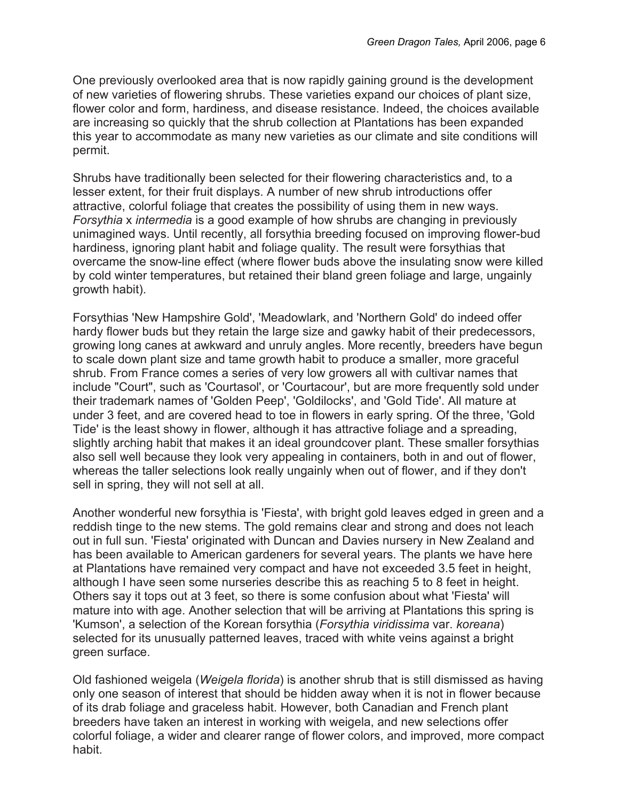One previously overlooked area that is now rapidly gaining ground is the development of new varieties of flowering shrubs. These varieties expand our choices of plant size, flower color and form, hardiness, and disease resistance. Indeed, the choices available are increasing so quickly that the shrub collection at Plantations has been expanded this year to accommodate as many new varieties as our climate and site conditions will permit.

Shrubs have traditionally been selected for their flowering characteristics and, to a lesser extent, for their fruit displays. A number of new shrub introductions offer attractive, colorful foliage that creates the possibility of using them in new ways. *Forsythia* x *intermedia* is a good example of how shrubs are changing in previously unimagined ways. Until recently, all forsythia breeding focused on improving flower-bud hardiness, ignoring plant habit and foliage quality. The result were forsythias that overcame the snow-line effect (where flower buds above the insulating snow were killed by cold winter temperatures, but retained their bland green foliage and large, ungainly growth habit).

Forsythias 'New Hampshire Gold', 'Meadowlark, and 'Northern Gold' do indeed offer hardy flower buds but they retain the large size and gawky habit of their predecessors, growing long canes at awkward and unruly angles. More recently, breeders have begun to scale down plant size and tame growth habit to produce a smaller, more graceful shrub. From France comes a series of very low growers all with cultivar names that include "Court", such as 'Courtasol', or 'Courtacour', but are more frequently sold under their trademark names of 'Golden Peep', 'Goldilocks', and 'Gold Tide'. All mature at under 3 feet, and are covered head to toe in flowers in early spring. Of the three, 'Gold Tide' is the least showy in flower, although it has attractive foliage and a spreading, slightly arching habit that makes it an ideal groundcover plant. These smaller forsythias also sell well because they look very appealing in containers, both in and out of flower, whereas the taller selections look really ungainly when out of flower, and if they don't sell in spring, they will not sell at all.

Another wonderful new forsythia is 'Fiesta', with bright gold leaves edged in green and a reddish tinge to the new stems. The gold remains clear and strong and does not leach out in full sun. 'Fiesta' originated with Duncan and Davies nursery in New Zealand and has been available to American gardeners for several years. The plants we have here at Plantations have remained very compact and have not exceeded 3.5 feet in height, although I have seen some nurseries describe this as reaching 5 to 8 feet in height. Others say it tops out at 3 feet, so there is some confusion about what 'Fiesta' will mature into with age. Another selection that will be arriving at Plantations this spring is 'Kumson', a selection of the Korean forsythia (*Forsythia viridissima* var. *koreana*) selected for its unusually patterned leaves, traced with white veins against a bright green surface.

Old fashioned weigela (*Weigela florida*) is another shrub that is still dismissed as having only one season of interest that should be hidden away when it is not in flower because of its drab foliage and graceless habit. However, both Canadian and French plant breeders have taken an interest in working with weigela, and new selections offer colorful foliage, a wider and clearer range of flower colors, and improved, more compact habit.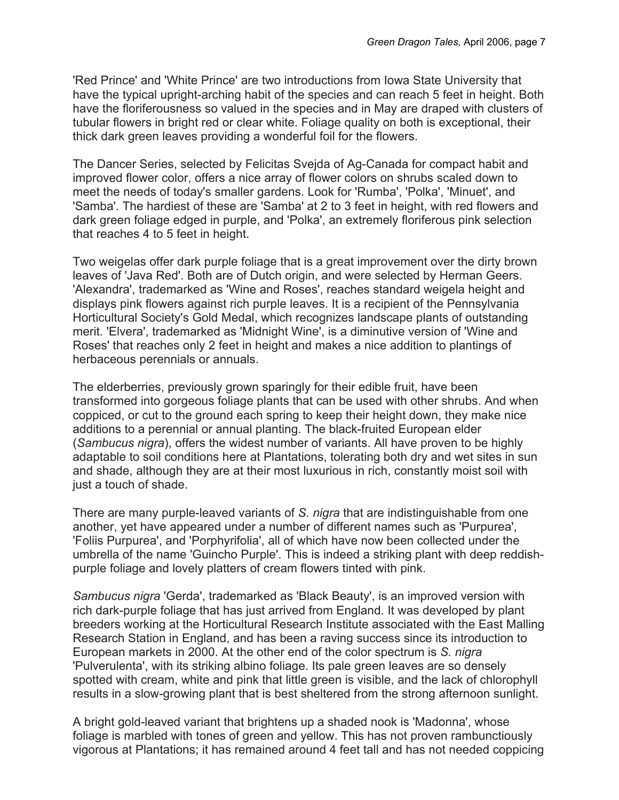'Red Prince' and 'White Prince' are two introductions from Iowa State University that have the typical upright-arching habit of the species and can reach 5 feet in height. Both have the floriferousness so valued in the species and in May are draped with clusters of tubular flowers in bright red or clear white. Foliage quality on both is exceptional, their thick dark green leaves providing a wonderful foil for the flowers.

The Dancer Series, selected by Felicitas Svejda of Ag-Canada for compact habit and improved flower color, offers a nice array of flower colors on shrubs scaled down to meet the needs of today's smaller gardens. Look for 'Rumba', 'Polka', 'Minuet', and 'Samba'. The hardiest of these are 'Samba' at 2 to 3 feet in height, with red flowers and dark green foliage edged in purple, and 'Polka', an extremely floriferous pink selection that reaches 4 to 5 feet in height.

Two weigelas offer dark purple foliage that is a great improvement over the dirty brown leaves of 'Java Red'. Both are of Dutch origin, and were selected by Herman Geers. 'Alexandra', trademarked as 'Wine and Roses', reaches standard weigela height and displays pink flowers against rich purple leaves. It is a recipient of the Pennsylvania Horticultural Society's Gold Medal, which recognizes landscape plants of outstanding merit. 'Elvera', trademarked as 'Midnight Wine', is a diminutive version of 'Wine and Roses' that reaches only 2 feet in height and makes a nice addition to plantings of herbaceous perennials or annuals.

The elderberries, previously grown sparingly for their edible fruit, have been transformed into gorgeous foliage plants that can be used with other shrubs. And when coppiced, or cut to the ground each spring to keep their height down, they make nice additions to a perennial or annual planting. The black-fruited European elder (*Sambucus nigra*), offers the widest number of variants. All have proven to be highly adaptable to soil conditions here at Plantations, tolerating both dry and wet sites in sun and shade, although they are at their most luxurious in rich, constantly moist soil with just a touch of shade.

There are many purple-leaved variants of *S. nigra* that are indistinguishable from one another, yet have appeared under a number of different names such as 'Purpurea', 'Foliis Purpurea', and 'Porphyrifolia', all of which have now been collected under the umbrella of the name 'Guincho Purple'. This is indeed a striking plant with deep reddishpurple foliage and lovely platters of cream flowers tinted with pink.

*Sambucus nigra* 'Gerda', trademarked as 'Black Beauty', is an improved version with rich dark-purple foliage that has just arrived from England. It was developed by plant breeders working at the Horticultural Research Institute associated with the East Malling Research Station in England, and has been a raving success since its introduction to European markets in 2000. At the other end of the color spectrum is *S. nigra* 'Pulverulenta', with its striking albino foliage. Its pale green leaves are so densely spotted with cream, white and pink that little green is visible, and the lack of chlorophyll results in a slow-growing plant that is best sheltered from the strong afternoon sunlight.

A bright gold-leaved variant that brightens up a shaded nook is 'Madonna', whose foliage is marbled with tones of green and yellow. This has not proven rambunctiously vigorous at Plantations; it has remained around 4 feet tall and has not needed coppicing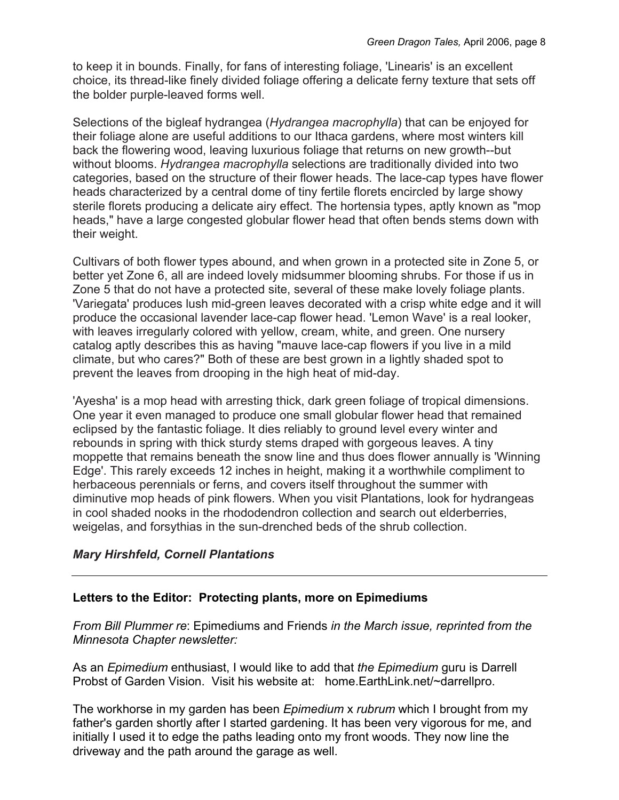to keep it in bounds. Finally, for fans of interesting foliage, 'Linearis' is an excellent choice, its thread-like finely divided foliage offering a delicate ferny texture that sets off the bolder purple-leaved forms well.

Selections of the bigleaf hydrangea (*Hydrangea macrophylla*) that can be enjoyed for their foliage alone are useful additions to our Ithaca gardens, where most winters kill back the flowering wood, leaving luxurious foliage that returns on new growth--but without blooms. *Hydrangea macrophylla* selections are traditionally divided into two categories, based on the structure of their flower heads. The lace-cap types have flower heads characterized by a central dome of tiny fertile florets encircled by large showy sterile florets producing a delicate airy effect. The hortensia types, aptly known as "mop heads," have a large congested globular flower head that often bends stems down with their weight.

Cultivars of both flower types abound, and when grown in a protected site in Zone 5, or better yet Zone 6, all are indeed lovely midsummer blooming shrubs. For those if us in Zone 5 that do not have a protected site, several of these make lovely foliage plants. 'Variegata' produces lush mid-green leaves decorated with a crisp white edge and it will produce the occasional lavender lace-cap flower head. 'Lemon Wave' is a real looker, with leaves irregularly colored with yellow, cream, white, and green. One nursery catalog aptly describes this as having "mauve lace-cap flowers if you live in a mild climate, but who cares?" Both of these are best grown in a lightly shaded spot to prevent the leaves from drooping in the high heat of mid-day.

'Ayesha' is a mop head with arresting thick, dark green foliage of tropical dimensions. One year it even managed to produce one small globular flower head that remained eclipsed by the fantastic foliage. It dies reliably to ground level every winter and rebounds in spring with thick sturdy stems draped with gorgeous leaves. A tiny moppette that remains beneath the snow line and thus does flower annually is 'Winning Edge'. This rarely exceeds 12 inches in height, making it a worthwhile compliment to herbaceous perennials or ferns, and covers itself throughout the summer with diminutive mop heads of pink flowers. When you visit Plantations, look for hydrangeas in cool shaded nooks in the rhododendron collection and search out elderberries, weigelas, and forsythias in the sun-drenched beds of the shrub collection.

# *Mary Hirshfeld, Cornell Plantations*

## **Letters to the Editor: Protecting plants, more on Epimediums**

*From Bill Plummer re*: Epimediums and Friends *in the March issue, reprinted from the Minnesota Chapter newsletter:* 

As an *Epimedium* enthusiast, I would like to add that *the Epimedium* guru is Darrell Probst of Garden Vision. Visit his website at: home.EarthLink.net/~darrellpro.

The workhorse in my garden has been *Epimedium* x *rubrum* which I brought from my father's garden shortly after I started gardening. It has been very vigorous for me, and initially I used it to edge the paths leading onto my front woods. They now line the driveway and the path around the garage as well.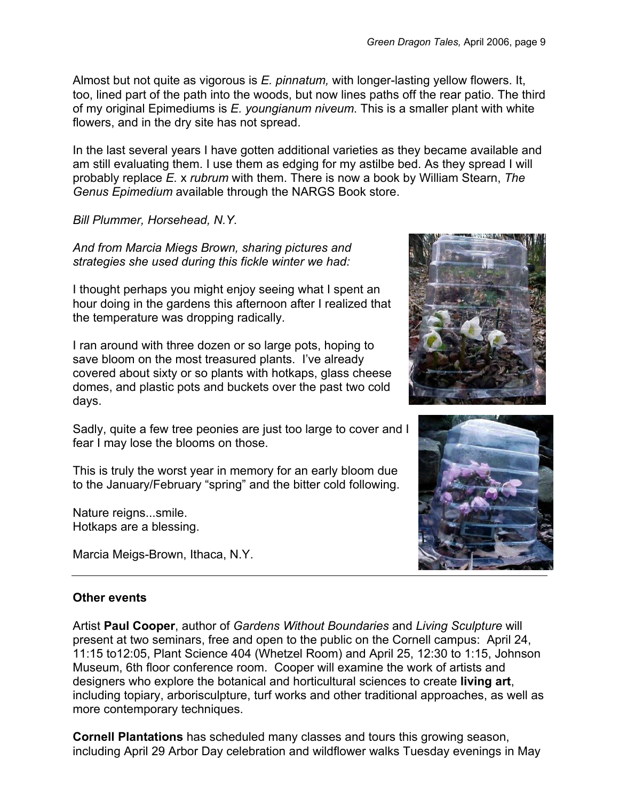Almost but not quite as vigorous is *E. pinnatum,* with longer-lasting yellow flowers. It, too, lined part of the path into the woods, but now lines paths off the rear patio. The third of my original Epimediums is *E. youngianum niveum*. This is a smaller plant with white flowers, and in the dry site has not spread.

In the last several years I have gotten additional varieties as they became available and am still evaluating them. I use them as edging for my astilbe bed. As they spread I will probably replace *E.* x *rubrum* with them. There is now a book by William Stearn, *The Genus Epimedium* available through the NARGS Book store.

*Bill Plummer, Horsehead, N.Y.* 

*And from Marcia Miegs Brown, sharing pictures and strategies she used during this fickle winter we had:* 

I thought perhaps you might enjoy seeing what I spent an hour doing in the gardens this afternoon after I realized that the temperature was dropping radically.

I ran around with three dozen or so large pots, hoping to save bloom on the most treasured plants. I've already covered about sixty or so plants with hotkaps, glass cheese domes, and plastic pots and buckets over the past two cold days.

Sadly, quite a few tree peonies are just too large to cover and I fear I may lose the blooms on those.

This is truly the worst year in memory for an early bloom due to the January/February "spring" and the bitter cold following.

Nature reigns...smile. Hotkaps are a blessing.

Marcia Meigs-Brown, Ithaca, N.Y.





## **Other events**

Artist **Paul Cooper**, author of *Gardens Without Boundaries* and *Living Sculpture* will present at two seminars, free and open to the public on the Cornell campus: April 24, 11:15 to12:05, Plant Science 404 (Whetzel Room) and April 25, 12:30 to 1:15, Johnson Museum, 6th floor conference room. Cooper will examine the work of artists and designers who explore the botanical and horticultural sciences to create **living art**, including topiary, arborisculpture, turf works and other traditional approaches, as well as more contemporary techniques.

**Cornell Plantations** has scheduled many classes and tours this growing season, including April 29 Arbor Day celebration and wildflower walks Tuesday evenings in May